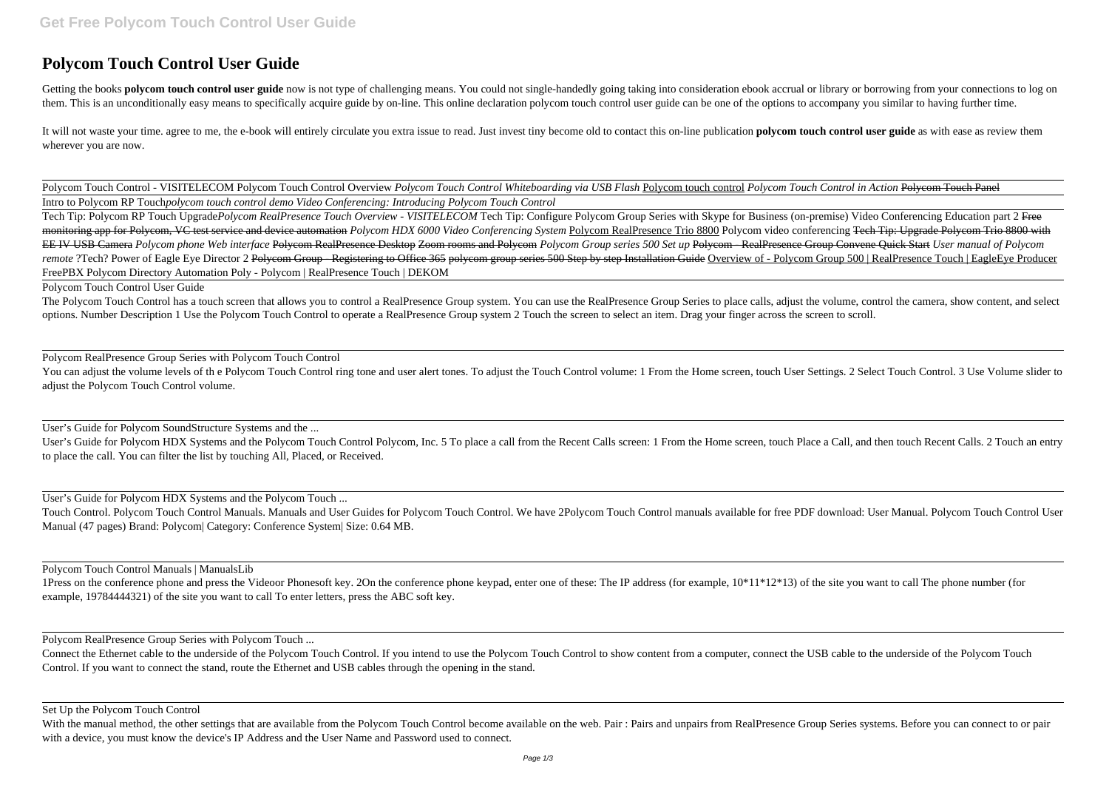# **Polycom Touch Control User Guide**

Getting the books polycom touch control user guide now is not type of challenging means. You could not single-handedly going taking into consideration ebook accrual or library or borrowing from your connections to log on them. This is an unconditionally easy means to specifically acquire guide by on-line. This online declaration polycom touch control user guide can be one of the options to accompany you similar to having further time.

It will not waste your time. agree to me, the e-book will entirely circulate you extra issue to read. Just invest tiny become old to contact this on-line publication **polycom touch control user guide** as with ease as revie wherever you are now.

Polycom Touch Control - VISITELECOM Polycom Touch Control Overview *Polycom Touch Control Whiteboarding via USB Flash* Polycom touch control *Polycom Touch Control in Action* Polycom Touch Panel Intro to Polycom RP Touch*polycom touch control demo Video Conferencing: Introducing Polycom Touch Control*

You can adjust the volume levels of the Polycom Touch Control ring tone and user alert tones. To adjust the Touch Control volume: 1 From the Home screen, touch User Settings. 2 Select Touch Control. 3 Use Volume slider to adjust the Polycom Touch Control volume.

Tech Tip: Polycom RP Touch Upgrade*Polycom RealPresence Touch Overview - VISITELECOM* Tech Tip: Configure Polycom Group Series with Skype for Business (on-premise) Video Conferencing Education part 2 Free monitoring app for Polycom, VC test service and device automation *Polycom HDX 6000 Video Conferencing System* Polycom RealPresence Trio 8800 Polycom video conferencing <del>Tech Tip: Upgrade Polycom Trio 8800 with</del> EE IV USB Camera *Polycom phone Web interface* Polycom RealPresence Desktop Zoom rooms and Polycom *Polycom Group series 500 Set up* Polycom - RealPresence Group Convene Quick Start *User manual of Polycom remote* ?Tech? Power of Eagle Eye Director 2 Polycom Group - Registering to Office 365 polycom group series 500 Step by step Installation Guide Overview of - Polycom Group 500 | RealPresence Touch | EagleEye Producer FreePBX Polycom Directory Automation Poly - Polycom | RealPresence Touch | DEKOM

User's Guide for Polycom HDX Systems and the Polycom Touch Control Polycom, Inc. 5 To place a call from the Recent Calls screen: 1 From the Home screen, touch Place a Call, and then touch Recent Calls. 2 Touch an entry to place the call. You can filter the list by touching All, Placed, or Received.

1Press on the conference phone and press the Videoor Phonesoft key. 2On the conference phone keypad, enter one of these: The IP address (for example,  $10*11*12*13$ ) of the site you want to call The phone number (for example, 19784444321) of the site you want to call To enter letters, press the ABC soft key.

Polycom Touch Control User Guide

The Polycom Touch Control has a touch screen that allows you to control a RealPresence Group system. You can use the RealPresence Group Series to place calls, adjust the volume, control the camera, show content, and select options. Number Description 1 Use the Polycom Touch Control to operate a RealPresence Group system 2 Touch the screen to select an item. Drag your finger across the screen to scroll.

With the manual method, the other settings that are available from the Polycom Touch Control become available on the web. Pair: Pairs and unpairs from RealPresence Group Series systems. Before you can connect to or pair with a device, you must know the device's IP Address and the User Name and Password used to connect.

Polycom RealPresence Group Series with Polycom Touch Control

User's Guide for Polycom SoundStructure Systems and the ...

User's Guide for Polycom HDX Systems and the Polycom Touch ...

Touch Control. Polycom Touch Control Manuals. Manuals and User Guides for Polycom Touch Control. We have 2Polycom Touch Control manuals available for free PDF download: User Manual. Polycom Touch Control User Manual (47 pages) Brand: Polycom| Category: Conference System| Size: 0.64 MB.

Polycom Touch Control Manuals | ManualsLib

Polycom RealPresence Group Series with Polycom Touch ...

Connect the Ethernet cable to the underside of the Polycom Touch Control. If you intend to use the Polycom Touch Control to show content from a computer, connect the USB cable to the underside of the Polycom Touch Control. If you want to connect the stand, route the Ethernet and USB cables through the opening in the stand.

Set Up the Polycom Touch Control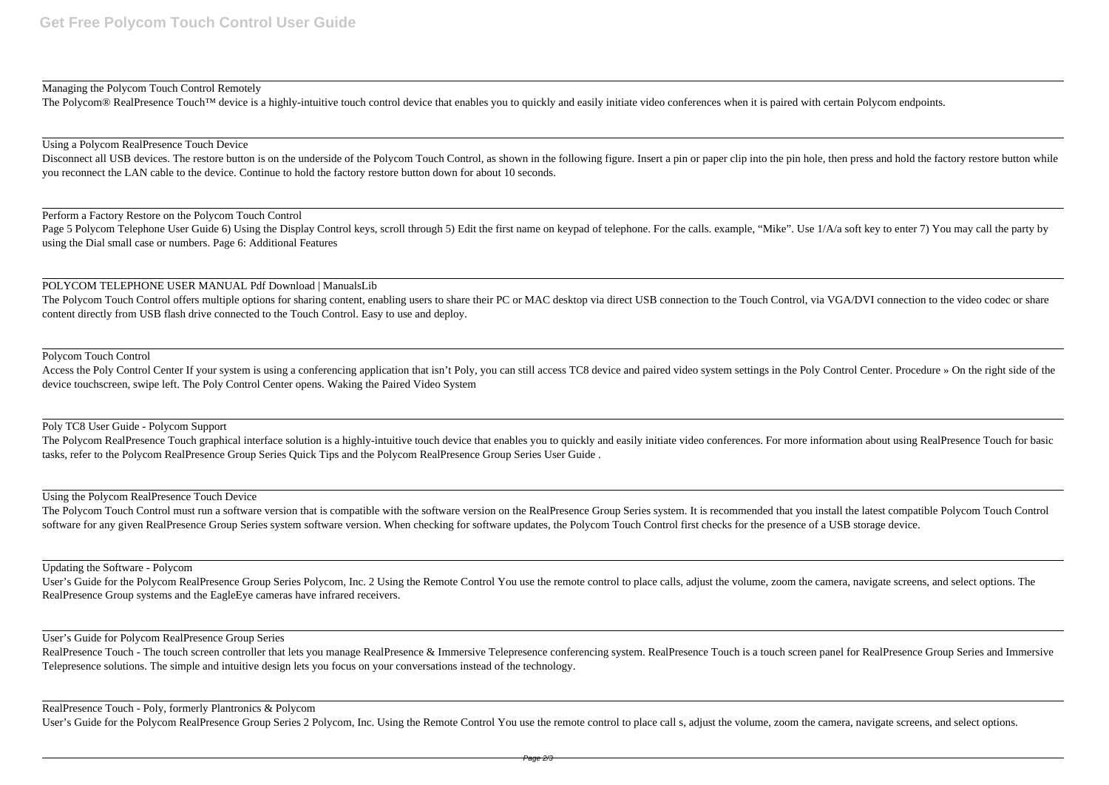#### Managing the Polycom Touch Control Remotely

The Polycom® RealPresence Touch<sup>™</sup> device is a highly-intuitive touch control device that enables you to quickly and easily initiate video conferences when it is paired with certain Polycom endpoints.

#### Using a Polycom RealPresence Touch Device

Disconnect all USB devices. The restore button is on the underside of the Polycom Touch Control, as shown in the following figure. Insert a pin or paper clip into the pin hole, then press and hold the factory restore butto you reconnect the LAN cable to the device. Continue to hold the factory restore button down for about 10 seconds.

Page 5 Polycom Telephone User Guide 6) Using the Display Control keys, scroll through 5) Edit the first name on keypad of telephone. For the calls. example, "Mike". Use 1/A/a soft key to enter 7) You may call the party by using the Dial small case or numbers. Page 6: Additional Features

The Polycom Touch Control offers multiple options for sharing content, enabling users to share their PC or MAC desktop via direct USB connection to the Touch Control, via VGA/DVI connection to the video codec or share content directly from USB flash drive connected to the Touch Control. Easy to use and deploy.

#### Perform a Factory Restore on the Polycom Touch Control

Access the Poly Control Center If your system is using a conferencing application that isn't Poly, you can still access TC8 device and paired video system settings in the Poly Control Center. Procedure » On the right side device touchscreen, swipe left. The Poly Control Center opens. Waking the Paired Video System

### POLYCOM TELEPHONE USER MANUAL Pdf Download | ManualsLib

#### Polycom Touch Control

RealPresence Touch - The touch screen controller that lets you manage RealPresence & Immersive Telepresence conferencing system. RealPresence Touch is a touch screen panel for RealPresence Group Series and Immersive Telepresence solutions. The simple and intuitive design lets you focus on your conversations instead of the technology.

Poly TC8 User Guide - Polycom Support

The Polycom RealPresence Touch graphical interface solution is a highly-intuitive touch device that enables you to quickly and easily initiate video conferences. For more information about using RealPresence Touch for basic tasks, refer to the Polycom RealPresence Group Series Quick Tips and the Polycom RealPresence Group Series User Guide .

### Using the Polycom RealPresence Touch Device

The Polycom Touch Control must run a software version that is compatible with the software version on the RealPresence Group Series system. It is recommended that you install the latest compatible Polycom Touch Control software for any given RealPresence Group Series system software version. When checking for software updates, the Polycom Touch Control first checks for the presence of a USB storage device.

Updating the Software - Polycom

User's Guide for the Polycom RealPresence Group Series Polycom, Inc. 2 Using the Remote Control You use the remote control to place calls, adjust the volume, zoom the camera, navigate screens, and select options. The RealPresence Group systems and the EagleEye cameras have infrared receivers.

User's Guide for Polycom RealPresence Group Series

#### RealPresence Touch - Poly, formerly Plantronics & Polycom

User's Guide for the Polycom RealPresence Group Series 2 Polycom, Inc. Using the Remote Control You use the remote control to place call s, adjust the volume, zoom the camera, navigate screens, and select options.